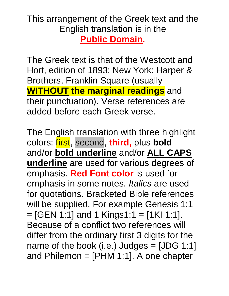# This arrangement of the Greek text and the English translation is in the **Public Domain.**

The Greek text is that of the Westcott and Hort, edition of 1893; New York: Harper & Brothers, Franklin Square (usually **WITHOUT the marginal readings** and their punctuation). Verse references are added before each Greek verse.

The English translation with three highlight colors: first, second, **third,** plus **bold** and/or **bold underline** and/or **ALL CAPS underline** are used for various degrees of emphasis. **Red Font color** is used for emphasis in some notes. *Italics* are used for quotations. Bracketed Bible references will be supplied. For example Genesis 1:1  $=$  [GEN 1:1] and 1 Kings1:1 = [1KI 1:1]. Because of a conflict two references will differ from the ordinary first 3 digits for the name of the book (i.e.) Judges  $=$  [JDG 1:1] and Philemon  $=$  [PHM 1:1]. A one chapter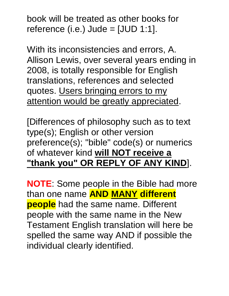book will be treated as other books for reference (i.e.) Jude =  $[JUD 1:1]$ .

With its inconsistencies and errors, A. Allison Lewis, over several years ending in 2008, is totally responsible for English translations, references and selected quotes. Users bringing errors to my attention would be greatly appreciated.

[Differences of philosophy such as to text type(s); English or other version preference(s); "bible" code(s) or numerics of whatever kind **will NOT receive a "thank you" OR REPLY OF ANY KIND**].

**NOTE**: Some people in the Bible had more than one name **AND MANY different people** had the same name. Different people with the same name in the New Testament English translation will here be spelled the same way AND if possible the individual clearly identified.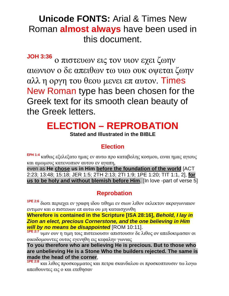# **Unicode FONTS:** Arial & Times New Roman **almost always** have been used in this document.

**JOH 3:36** ο πιστευων εις τον υιον εχει ζωην αιωνιον ο δε απειθων τω υιω ουκ οψεται ζωην αλλ η οργη του θεου μενει επ αυτον. Times New Roman type has been chosen for the Greek text for its smooth clean beauty of the Greek letters.

# **ELECTION – REPROBATION**

#### **Stated and Illustrated in the BIBLE**

### **Election**

**ΕPH 1:4** καθως εξελεξατο ημας εν αυτω προ καταβολης κοσμου, ειναι ημας αγιους και αμωμους κατενωπιον αυτου εν αγαπη,

even as **He chose us in Him before the foundation of the world** [ACT 2:23; 13:48; 15:18; JER 1:5; 2TH 2:13; 2TI 1:9; 1PE 1:20; TIT 1:1, 2], **for us to be holy and without blemish before Him**. [In love -part of verse 5]

### **Reprobation**

**1P<sup>Ε</sup> 2:6** διοτι περιεχει εν γραφη ιδου τιθημι εν σιων λιθον εκλεκτον ακρογωνιαιον εντιμον και ο πιστευων επ αυτω ου μη καταισχυνθη

**Wherefore is contained in the Scripture [ISA 28:16],** *Behold, I lay in Zion an elect, precious Cornerstone, and the one believing in Him will by no means be disappointed* [ROM 10:11].

**1PΕ 2:7** υμιν ουν η τιμη τοις πιστευουσιν απιστουσιν δε λιθος ον απεδοκιμασαν οι οικοδομουντες ουτος εγενηθη εις κεφαλην γωνιας

**To you therefore who are believing He is precious. But to those who are unbelieving He is a Stone Who the builders rejected. The same is made the head of the corner**,

**1PΕ 2:8** και λιθος προσκομματος και πετρα σκανδαλου οι προσκοπτουσιν τω λογω απειθουντες εις ο και ετεθησαν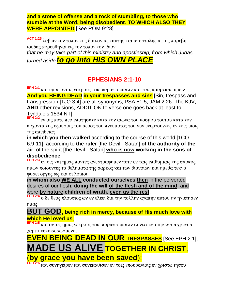**and a stone of offense and a rock of stumbling, to those who stumble at the Word, being disobedient**. **TO WHICH ALSO THEY WERE APPOINTED** [See ROM 9:28].

**ACT 1:25** λαβειν τον τοπον της διακονιας ταυτης και αποστολης αφ ης παρεβη ιουδας πορευθηναι εις τον τοπον τον ιδιον *that he may take part of this ministry and apostleship, from which Judas* 

*turned aside to go into HIS OWN PLACE*.

## **EPHESIANS 2:1-10**

**ΕPH 2:1** και υμας οντας νεκρους τοις παραπτωμασιν και ταις αμαρτιαις υμων **And you BEING DEAD in your trespasses and sins** [Sin, trespass and transgression [1JO 3:4] are all synonyms; PSA 51:5; JAM 2:26. The KJV, **AND** other revisions, ADDITION to verse one goes back at least to Tyndale's 1534 NT];

**EPH 2:2** εν αις ποτε περιεπατησατε κατα τον αιωνα του κοσμου τουτου κατα τον αρχοντα της εξουσιας του αερος του πνευματος του νυν ενεργουντος εν τοις υιοις της απειθειας

**in which you then walked** according to the course of this world [1CO 6:9-11], according to **the ruler** [the Devil - Satan] **of the authority of the air**, of the spirit [the Devil - Satan] **who is now working in the sons of disobedience**;

**EPH 2:3** εν οις και ημεις παντες ανεστραφημεν ποτε εν ταις επιθυμιαις της σαρκος ημων ποιουντες τα θεληματα της σαρκος και των διανοιων και ημεθα τεκνα φυσει οργης ως και οι λοιποι

**in whom also WE ALL conducted ourselves then** in the perverted desires of our flesh, **doing the will of the flesh and of the mind**, and were **by nature children of wrath**, **even as the rest**.

**EPH 2:4** ο δε θεος πλουσιος ων εν ελεει δια την πολλην αγαπην αυτου ην ηγαπησεν ημας

**BUT GOD**, **being rich in mercy, because of His much love with which He loved us**,

**EPH 2:5** και οντας ημας νεκρους τοις παραπτωμασιν συνεζωοποιησεν τω χριστω χαριτι εστε σεσωσμενοι

## **EVEN BEING DEAD IN OUR TRESPASSES** [See EPH 2:1], **MADE US ALIVE TOGETHER IN CHRIST**, (**by grace you have been saved**); **EPH 2:6**

και συνηγειρεν και συνεκαθισεν εν τοις επουρανιοις εν χριστω ιησου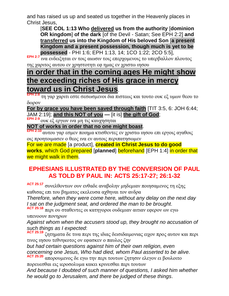and has raised us up and seated us together in the Heavenly places in Christ Jesus,

[**SEE COL 1:13 Who delivered us from the authority** [**dominion OR kingdom**] **of the dark** [of the Devil - Satan; See EPH 2:2] **and transferred us into the Kingdom of His beloved Son** [**a present Kingdom and a present possession, though much is yet to be possessed** - PHI 1:6; EPH 1:13, 14; 1CO 1:22; 2CO 5:5],

**EPH 2:7** ινα ενδειξηται εν τοις αιωσιν τοις επερχομενοις το υπερβαλλον πλουτος της χαριτος αυτου εν χρηστοτητι εφ ημας εν χριστω ιησου

# **in order that in the coming ages He might show the exceeding riches of His grace in mercy toward us in Christ Jesus**.

**EPH 2:8** τη γαρ χαριτι εστε σεσωσμενοι δια πιστεως και τουτο ουκ εξ υμων θεου το δωρον

**For by grace you have been saved through faith** [TIT 3:5, 6: JOH 6:44; JAM 2:19]; **and this NOT of you —** [it is] **the gift of God**;

**EPH 2:9** ουκ εξ εργων ινα μη τις καυχησηται

**NOT of works in order that no one might boast**.

**EPH 2:10** αυτου γαρ εσμεν ποιημα κτισθεντες εν χριστω ιησου επι εργοις αγαθοις οις προητοιμασεν ο θεος ινα εν αυτοις περιπατησωμεν

For we are made [a product], **created in Christ Jesus to do good works**, which God prepared [**planned**] beforehand [EPH 1:4] in order that we might walk in them.

### **EPHESIANS ILLUSTRATED BY THE CONVERSION OF PAUL AS TOLD BY PAUL IN: ACTS 25:17-27; 26:1-32**

**ACT 25:17** συνελθοντων ουν ενθαδε αναβολην μηδεμιαν ποιησαμενος τη εξης καθισας επι του βηματος εκελευσα αχθηναι τον ανδρα

*Therefore, when they were come here, without any delay on the next day I sat on the judgment seat, and ordered the man to be brought*.

**ACT 25:18** περι ου σταθεντες οι κατηγοροι ουδεμιαν αιτιαν εφερον ων εγω

υπενοουν πονηρων

*Against whom when the accusers stood up, they brought no accusation of such things as I expected*:

**ACT 25:19** ζητηματα δε τινα περι της ιδιας δεισιδαιμονιας ειχον προς αυτον και περι τινος ιησου τεθνηκοτος ον εφασκεν ο παυλος ζην

*but had certain questions against him of their own religion, even concerning one Jesus, Who had died, whom Paul asserted to be alive*. **ACT 25:20** απορουμενος δε εγω την περι τουτων ζητησιν ελεγον ει βουλοιτο

πορευεσθαι εις ιεροσολυμα κακει κρινεσθαι περι τουτων *And because I doubted of such manner of questions, I asked him whether he would go to Jerusalem, and there be judged of these things*.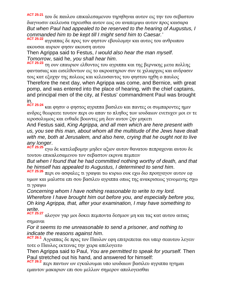**ACT 25:21** του δε παυλου επικαλεσαμενου τηρηθηναι αυτον εις την του σεβαστου διαγνωσιν εκελευσα τηρεισθαι αυτον εως ου αναπεμψω αυτον προς καισαρα *But when Paul had appealed to be reserved to the hearing of Augustus, I commanded him to be kept till I might send him to Caesar.'*

**ACT 25:22** αγριππας δε προς τον φηστον εβουλομην και αυτος του ανθρωπου ακουσαι αυριον φησιν ακουση αυτου

Then Agrippa said to Festus, *I would also hear the man myself*. *Tomorrow*, said he, *you shall hear him*.

**ACT 25:23** τη ουν επαυριον ελθοντος του αγριππα και της βερνικης μετα πολλης φαντασιας και εισελθοντων εις το ακροατηριον συν τε χιλιαρχοις και ανδρασιν τοις κατ εξοχην της πολεως και κελευσαντος του φηστου ηχθη ο παυλος Therefore the next day, when Agrippa was come, and Bernice, with great pomp, and was entered into the place of hearing, with the chief captains, and principal men of the city, at Festus' commandment Paul was brought in.

**ACT 25:24** και φησιν ο φηστος αγριππα βασιλευ και παντες οι συμπαροντες ημιν ανδρες θεωρειτε τουτον περι ου απαν το πληθος των ιουδαιων ενετυχεν μοι εν τε ιεροσολυμοις και ενθαδε βοωντες μη δειν αυτον ζην μηκετι

And Festus said, *King Agrippa, and all men which are here present with us, you see this man, about whom all the multitude of the Jews have dealt with me, both at Jerusalem, and also here, crying that he ought not to live any longer*.

**ACT 25:25** εγω δε κατελαβομην μηδεν αξιον αυτον θανατου πεπραχεναι αυτου δε τουτου επικαλεσαμενου τον σεβαστον εκρινα πεμπειν

*But when I found that he had committed nothing worthy of death, and that he himself has appealed to Augustus, I determined to send him*.

**ACT 25:26** περι ου ασφαλες τι γραψαι τω κυριω ουκ εχω διο προηγαγον αυτον εφ υμων και μαλιστα επι σου βασιλευ αγριππα οπως της ανακρισεως γενομενης σχω τι γραψω

*Concerning whom I have nothing reasonable to write to my lord. Wherefore I have brought him out before you, and especially before you, Oh king Agrippa, that, after your examination, I may have something to write*.

**ACT 25:27** αλογον γαρ μοι δοκει πεμποντα δεσμιον μη και τας κατ αυτου αιτιας σημαναι

*For it seems to me unreasonable to send a prisoner, and nothing to indicate the reasons against him*.

**ACT 26:1** Αγριππας δε προς τον Παυλον εφη επιτρεπεται σοι υπερ σεαυτου λεγειν τοτε ο Παυλος εκτεινας την χειρα απελογειτο

Then Agrippa said to Paul, *You are permitted to speak for yourself.* Then Paul stretched out his hand, and answered for himself:

**ACT 26:2** περι παντων ων εγκαλουμαι υπο ιουδαιων βασιλευ αγριππα ηγημαι εμαυτον μακαριον επι σου μελλων σημερον απολογεισθαι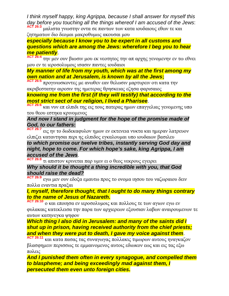*I think myself happy, king Agrippa, because I shall answer for myself this day before you touching all the things whereof I am accused of the Jews*: **ACT 26:3**

μαλιστα γνωστην οντα σε παντων των κατα ιουδαιους εθων τε και ζητηματων διο δεομαι μακροθυμως ακουσαι μου

*especially because I know you to be expert in all customs and questions which are among the Jews: wherefore I beg you to hear me patiently*.

**ACT 26:4** την μεν ουν βιωσιν μου εκ νεοτητος την απ αρχης γενομενην εν τω εθνει μου εν τε ιεροσολυμοις ισασιν παντες ιουδαιοι

#### *My manner of life from my youth, which was at the first among my own nation and at Jerusalem, is known by all the Jews***;**

**ACT 26:5** προγινωσκοντες με ανωθεν εαν θελωσιν μαρτυρειν οτι κατα την

ακριβεστατην αιρεσιν της ημετερας θρησκειας εζησα φαρισαιος

#### *knowing me from the first (if they will testify) that according to the most strict sect of our religion, I lived a Pharisee*.

**ACT 26:6** και νυν επ ελπιδι της εις τους πατερας ημων επαγγελιας γενομενης υπο του θεου εστηκα κρινομενος

#### *And now I stand in judgment for the hope of the promise made of God, to our fathers***:**

**ACT 26:7** εις ην το δωδεκαφυλον ημων εν εκτενεια νυκτα και ημεραν λατρευον ελπιζει καταντησαι περι ης ελπιδος εγκαλουμαι υπο ιουδαιων βασιλευ

*to which promise our twelve tribes, instantly serving God day and night, hope to come***.** *For which hope's sake, king Agrippa, I am accused of the Jews*.

**ACT 26:8** τι απιστον κρινεται παρ υμιν ει ο θεος νεκρους εγειρει

#### *Why should it be thought a thing incredible with you, that God should raise the dead?*

**ACT 26:9** εγω μεν ουν εδοξα εμαυτω προς το ονομα ιησου του ναζωραιου δειν πολλα εναντια πραξαι

#### *I, myself, therefore thought, that I ought to do many things contrary to the name of Jesus of Nazareth***.**

**ACT 26:10** ο και εποιησα εν ιεροσολυμοις και πολλους τε των αγιων εγω εν φυλακαις κατεκλεισα την παρα των αρχιερεων εξουσιαν λαβων αναιρουμενων τε αυτων κατηνεγκα ψηφον

#### *Which thing I also did in Jerusalem: and many of the saints did I shut up in prison, having received authority from the chief priests; and when they were put to death, I gave my voice against them*.

**ACT 26:11** και κατα πασας τας συναγωγας πολλακις τιμωρων αυτους ηναγκαζον βλασφημειν περισσως τε εμμαινομενος αυτοις εδιωκον εως και εις τας εξω πολεις

*And I punished them often in every synagogue, and compelled them to blaspheme; and being exceedingly mad against them, I persecuted them even unto foreign cities***.**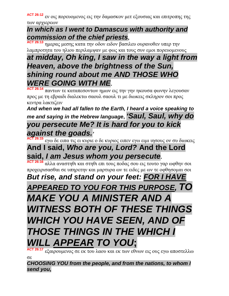**ACT 26:12** εν οις πορευομενος εις την δαμασκον μετ εξουσιας και επιτροπης της των αρχιερεων

### *In which as I went to Damascus with authority and commission of the chief priests***,**

**ACT 26:13** ημερας μεσης κατα την οδον ειδον βασιλευ ουρανοθεν υπερ την λαμπροτητα του ηλιου περιλαμψαν με φως και τους συν εμοι πορευομενους

# *at midday, Oh king, I saw in the way a light from Heaven, above the brightness of the Sun, shining round about me AND THOSE WHO WERE GOING WITH ME***.**

**ACT 26:14** παντων τε καταπεσοντων ημων εις την γην ηκουσα φωνην λεγουσαν προς με τη εβραιδι διαλεκτω σαουλ σαουλ τι με διωκεις σκληρον σοι προς κεντρα λακτιζειν

## *And when we had all fallen to the Earth, I heard a voice speaking to me and saying in the Hebrew language***,** *'Saul, Saul, why do you persecute Me? It is hard for you to kick against the goads.'*

**ACT 26:15** εγω δε ειπα τις ει κυριε ο δε κυριος ειπεν εγω ειμι ιησους ον συ διωκεις

# **And I said,** *Who are you, Lord?* **And the Lord said,** *I am Jesus whom you persecute***.**

**ACT 26:16** αλλα αναστηθι και στηθι επι τους ποδας σου εις τουτο γαρ ωφθην σοι προχειρισασθαι σε υπηρετην και μαρτυρα ων τε ειδες με ων τε οφθησομαι σοι

## *But rise, and stand on your feet: FOR I HAVE*

# *APPEARED TO YOU FOR THIS PURPOSE, TO MAKE YOU A MINISTER AND A WITNESS BOTH OF THESE THINGS WHICH YOU HAVE SEEN, AND OF THOSE THINGS IN THE WHICH I WILL APPEAR TO YOU***;**

**ACT 26:17** εξαιρουμενος σε εκ του λαου και εκ των εθνων εις ους εγω αποστελλω

σε

*CHOOSING YOU from the people, and from the nations, to whom I send you***,**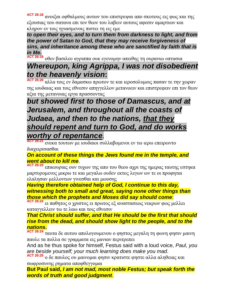**ACT 26:18** ανοιξαι οφθαλμους αυτων του επιστρεψαι απο σκοτους εις φως και της εξουσιας του σατανα επι τον θεον του λαβειν αυτους αφεσιν αμαρτιων και κληρον εν τοις ηγιασμενοις πιστει τη εις εμε

*to open their eyes, and to turn them from darkness to light, and from the power of Satan to God, that they may receive forgiveness of sins, and inheritance among these who are sanctified by faith that is in Me***.** 

**ACT 26:19** οθεν βασιλευ αγριππα ουκ εγενομην απειθης τη ουρανιω οπτασια

# *Whereupon, king Agrippa, I was not disobedient to the heavenly vision***:**

**ACT 26:20** αλλα τοις εν δαμασκω πρωτον τε και ιεροσολυμοις πασαν τε την χωραν της ιουδαιας και τοις εθνεσιν απηγγελλον μετανοειν και επιστρεφειν επι τον θεον αξια της μετανοιας εργα πρασσοντας

## *but showed first to those of Damascus, and at Jerusalem, and throughout all the coasts of Judaea, and then to the nations, that they should repent and turn to God, and do works worthy of repentance***.**

**ACT 26:21** ενεκα τουτων με ιουδαιοι συλλαβομενοι εν τω ιερω επειρωντο

διαχειρισασθαι

*On account of these things the Jews found me in the temple, and went about to kill me*.

**ACT 26:22** επικουριας ουν τυχων της απο του θεου αχρι της ημερας ταυτης εστηκα μαρτυρομενος μικρω τε και μεγαλω ουδεν εκτος λεγων ων τε οι προφηται ελαλησαν μελλοντων γινεσθαι και μωυσης

### *Having therefore obtained help of God, I continue to this day, witnessing both to small and great, saying none other things than those which the prophets and Moses did say should come*:

**ACT 26:23** ει παθητος ο χριστος ει πρωτος εξ αναστασεως νεκρων φως μελλει καταγγελλειν τω τε λαω και τοις εθνεσιν

#### *That Christ should suffer, and that He should be the first that should rise from the dead, and should show light to the people, and to the nations***.**

**ACT 26:24** ταυτα δε αυτου απολογουμενου ο φηστος μεγαλη τη φωνη φησιν μαινη παυλε τα πολλα σε γραμματα εις μανιαν περιτρεπει

And as he thus spoke for himself, Festus said with a loud voice, *Paul, you are beside yourself; your much learning does make you mad*.

**ACT 26:25** ο δε παυλος ου μαινομαι φησιν κρατιστε φηστε αλλα αληθειας και σωφροσυνης ρηματα αποφθεγγομαι

**But Paul said,** *I am not mad, most noble Festus; but speak forth the words of truth and good judgment*.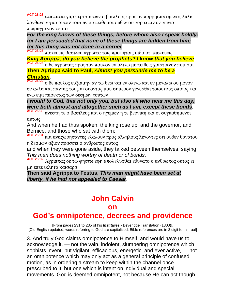**ACT 26:26** επισταται γαρ περι τουτων ο βασιλευς προς ον παρρησιαζομενος λαλω λανθανειν γαρ αυτον τουτων ου πειθομαι ουθεν ου γαρ εστιν εν γωνια πεπραγμενον τουτο

*For the king knows of these things, before whom also I speak boldly: for I am persuaded that none of these things are hidden from him; for this thing was not done in a corner*.

**ACT 26:27** πιστευεις βασιλευ αγριππα τοις προφηταις οιδα οτι πιστευεις

*King Agrippa, do you believe the prophets? I know that you believe*. **ACT 26:28** ο δε αγριππας προς τον παυλον εν ολιγω με πειθεις χριστιανον ποιησαι **Then Agrippa said to Paul,** *Almost you persuade me to be a Christian*.

**ACT 26:29** ο δε παυλος ευξαιμην αν τω θεω και εν ολιγω και εν μεγαλω ου μονον σε αλλα και παντας τους ακουοντας μου σημερον γενεσθαι τοιουτους οποιος και εγω ειμι παρεκτος των δεσμων τουτων

*I would to God, that not only you, but also all who hear me this day, were both almost and altogether such as I am, except these bonds*.

**ACT 26:30** ανεστη τε ο βασιλευς και ο ηγεμων η τε βερνικη και οι συγκαθημενοι αυτοις

And when he had thus spoken, the king rose up, and the governor, and Bernice, and those who sat with them:

**ACT 26:31** και αναχωρησαντες ελαλουν προς αλληλους λεγοντες οτι ουδεν θανατου η δεσμων αξιον πρασσει ο ανθρωπος ουτος

and when they were gone aside, they talked between themselves, saying, *This man does nothing worthy of death or of bonds*.

**ACT 26:32** Αγριππας δε τω φηστω εφη απολελυσθαι εδυνατο ο ανθρωπος ουτος ει μη επεκεκλητο καισαρα

**Then said Agrippa to Festus,** *This man might have been set at liberty, if he had not appealed to Caesar*.

# **John Calvin**

## **on**

## **God's omnipotence, decrees and providence**

[From pages 231 to 235 of his *Institutes* - Beveridge Translation (1800)]. [Old English updated; words referring to God are capitalized. Bible references are in 3 digit form – aal]

3. And truly God claims omnipotence to Himself, and would have us to acknowledge it, — not the vain, indolent, slumbering omnipotence which sophists invent, but vigilant, efficacious, energetic, and ever active, — not an omnipotence which may only act as a general principle of confused motion, as in ordering a stream to keep within the channel once prescribed to it, but one which is intent on individual and special movements. God is deemed omnipotent, not because He can act though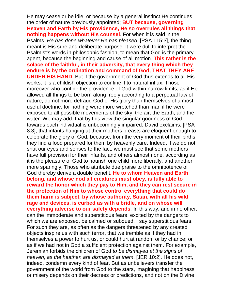He may cease or be idle, or because by a general instinct He continues the order of nature previously appointed; **BUT because, governing Heaven and Earth by His providence, He so overrules all things that nothing happens without His counsel**. For when it is said in the Psalms, *He has done whatever He has pleased*, [PSA 115:3], the thing meant is His sure and deliberate purpose. It were dull to interpret the Psalmist's words in philosophic fashion, to mean that God is the primary agent, because the beginning and cause of all motion. **This rather is the solace of the faithful, in their adversity, that every thing which they endure is by the ordination and command of God, THAT THEY ARE UNDER HIS HAND**. But if the government of God thus extends to all His works, it is a childish objection to confine it to natural influx. Those moreover who confine the providence of God within narrow limits, as if He allowed all things to be born along freely according to a perpetual law of nature, do not more defraud God of His glory than themselves of a most useful doctrine; for nothing were more wretched than man if he were exposed to all possible movements of the sky, the air, the Earth, and the water. We may add, that by this view the singular goodness of God towards each individual is unbecomingly impaired. David exclaims, [PSA 8:3], that infants hanging at their mothers breasts are eloquent enough to celebrate the glory of God, because, from the very moment of their births they find a food prepared for them by heavenly care. Indeed, if we do not shut our eyes and senses to the fact, we must see that some mothers have full provision for their infants, and others almost none, according as it is the pleasure of God to nourish one child more liberally, and another more sparingly. Those who attribute due praise to the omnipotence of God thereby derive a double benefit**. He to whom Heaven and Earth belong, and whose nod all creatures must obey, is fully able to reward the honor which they pay to Him, and they can rest secure in the protection of Him to whose control everything that could do them harm is subject, by whose authority, Satan, with all his wild rage and devices, is curbed as with a bridle, and on whose will everything adverse to our safety depends**. In this way, and in no other, can the immoderate and superstitious fears, excited by the dangers to which we are exposed, be calmed or subdued. I say superstitious fears. For such they are, as often as the dangers threatened by any created objects inspire us with such terror, that we tremble as if they had in themselves a power to hurt us, or could hurt at random or by chance; or as if we had not in God a sufficient protection against them. For example, Jeremiah forbids the children of God *to be dismayed at the signs of heaven, as the heathen are dismayed at them*, [JER 10:2]. He does not, indeed, condemn every kind of fear. But as unbelievers transfer the government of the world from God to the stars, imagining that happiness or misery depends on their decrees or predictions, and not on the Divine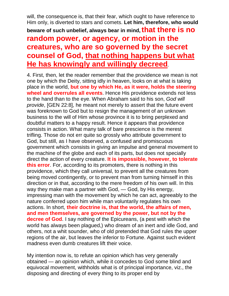will, the consequence is, that their fear, which ought to have reference to Him only, is diverted to stars and comets. **Let him, therefore, who would beware of such unbelief, always bear in mind,that there is no random power, or agency, or motion in the creatures, who are so governed by the secret counsel of God, that nothing happens but what He has knowingly and willingly decreed.**

4. First, then, let the reader remember that the providence we mean is not one by which the Deity, sitting idly in heaven, looks on at what is taking place in the world, **but one by which He, as it were, holds the steering wheel and overrules all events**. Hence His providence extends not less to the hand than to the eye. When Abraham said to his son, *God will provide*, [GEN 22:8], he meant not merely to assert that the future event was foreknown to God but to resign the management of an unknown business to the will of Him whose province it is to bring perplexed and doubtful matters to a happy result. Hence it appears that providence consists in action. What many talk of bare prescience is the merest trifling. Those do not err quite so grossly who attribute government to God, but still, as I have observed, a confused and promiscuous government which consists in giving an impulse and general movement to the machine of the globe and each of its parts, but does not specially direct the action of every creature. **It is impossible, however, to tolerate this error**. For, according to its promoters, there is nothing in this providence, which they call universal, to prevent all the creatures from being moved contingently, or to prevent man from turning himself in this direction or in that, according to the mere freedom of his own will. In this way they make man a partner with God, — God, by His energy, impressing man with the movement by which he can act, agreeably to the nature conferred upon him while man voluntarily regulates his own actions. In short, **their doctrine is, that the world, the affairs of men, and men themselves, are governed by the power, but not by the decree of God**. I say nothing of the Epicureans, (a pest with which the world has always been plagued,) who dream of an inert and idle God, and others, not a whit sounder, who of old pretended that God rules the upper regions of the air, but leaves the inferior to Fortune. Against such evident madness even dumb creatures lift their voice.

My intention now is, to refute an opinion which has very generally obtained — an opinion which, while it concedes to God some blind and equivocal movement, withholds what is of principal importance, viz., the disposing and directing of every thing to its proper end by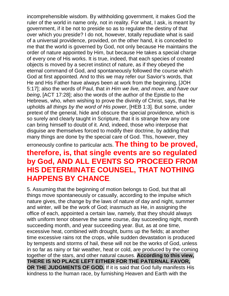incomprehensible wisdom. By withholding government, it makes God the ruler of the world in name only, not in reality. For what, I ask, is meant by government, if it be not to preside so as to regulate the destiny of that over which you preside? I do not, however, totally repudiate what is said of a universal providence, provided, on the other hand, it is conceded to me that the world is governed by God, not only because He maintains the order of nature appointed by Him, but because He takes a special charge of every one of His works. It is true, indeed, that each species of created objects is moved by a secret instinct of nature, as if they obeyed the eternal command of God, and spontaneously followed the course which God at first appointed. And to this we may refer our Savior's words, that He and His Father have always been at work from the beginning, [JOH 5:17]; also the words of Paul, that *in Him we live, and move, and have our being*, [ACT 17:28]; also the words of the author of the Epistle to the Hebrews, who, when wishing to prove the divinity of Christ, says, that He upholds *all things by the word of His power*, [HEB 1:3]. But some, under pretext of the general, hide and obscure the special providence, which is so surely and clearly taught in Scripture, that it is strange how any one can bring himself to doubt of it. And, indeed, those who interpose that disguise are themselves forced to modify their doctrine, by adding that many things are done by the special care of God. This, however, they erroneously confine to particular acts. **The thing to be proved, therefore, is, that single events are so regulated by God, AND ALL EVENTS SO PROCEED FROM HIS DETERMINATE COUNSEL, THAT NOTHING HAPPENS BY CHANCE**.

5. Assuming that the beginning of motion belongs to God, but that all things move spontaneously or casually, according to the impulse which nature gives, the change by the laws of nature of day and night, summer and winter, will be the work of God; inasmuch as He, in assigning the office of each, appointed a certain law, namely, that they should always with uniform tenor observe the same course, day succeeding night, month succeeding month, and year succeeding year. But, as at one time, excessive heat, combined with drought, burns up the fields; at another time excessive rains rot the crops, while sudden devastation is produced by tempests and storms of hail, these will not be the works of God, unless in so far as rainy or fair weather, heat or cold, are produced by the coming together of the stars, and other natural causes. **According to this view, THERE IS NO PLACE LEFT EITHER FOR THE PATERNAL FAVOR, OR THE JUDGMENTS OF GOD.** If it is said that God fully manifests His kindness to the human race, by furnishing Heaven and Earth with the